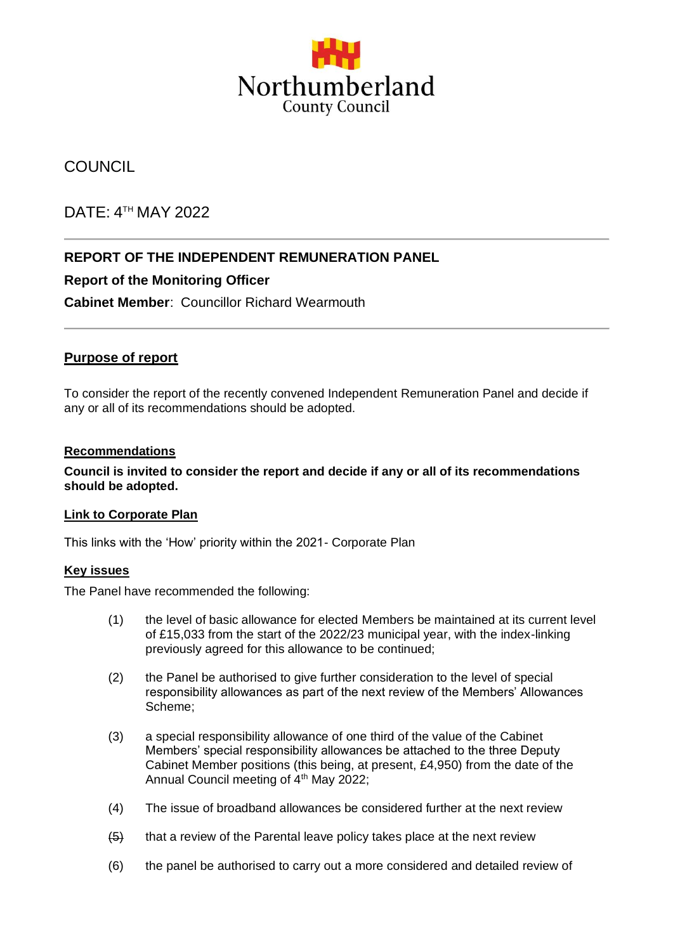

# **COUNCIL**

# DATE: 4 TH MAY 2022

## **REPORT OF THE INDEPENDENT REMUNERATION PANEL**

### **Report of the Monitoring Officer**

**Cabinet Member**: Councillor Richard Wearmouth

#### **Purpose of report**

To consider the report of the recently convened Independent Remuneration Panel and decide if any or all of its recommendations should be adopted.

#### **Recommendations**

**Council is invited to consider the report and decide if any or all of its recommendations should be adopted.**

#### **Link to Corporate Plan**

This links with the 'How' priority within the 2021- Corporate Plan

#### **Key issues**

The Panel have recommended the following:

- (1) the level of basic allowance for elected Members be maintained at its current level of £15,033 from the start of the 2022/23 municipal year, with the index-linking previously agreed for this allowance to be continued;
- (2) the Panel be authorised to give further consideration to the level of special responsibility allowances as part of the next review of the Members' Allowances Scheme;
- (3) a special responsibility allowance of one third of the value of the Cabinet Members' special responsibility allowances be attached to the three Deputy Cabinet Member positions (this being, at present, £4,950) from the date of the Annual Council meeting of 4<sup>th</sup> May 2022;
- (4) The issue of broadband allowances be considered further at the next review
- $\left\langle 5\right\rangle$  that a review of the Parental leave policy takes place at the next review
- (6) the panel be authorised to carry out a more considered and detailed review of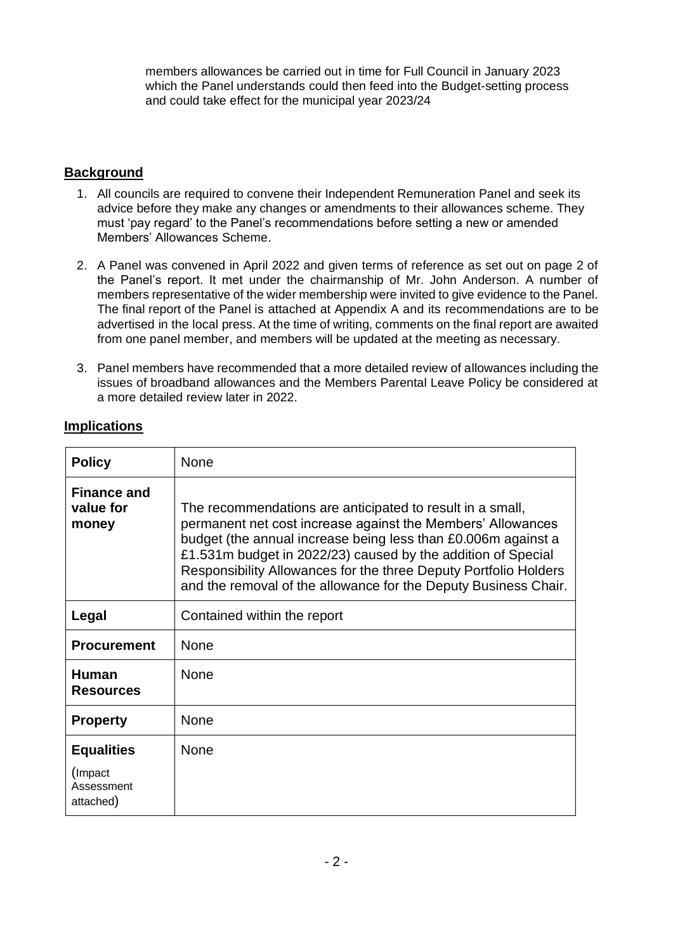members allowances be carried out in time for Full Council in January 2023 which the Panel understands could then feed into the Budget-setting process and could take effect for the municipal year 2023/24

## **Background**

- 1. All councils are required to convene their Independent Remuneration Panel and seek its advice before they make any changes or amendments to their allowances scheme. They must 'pay regard' to the Panel's recommendations before setting a new or amended Members' Allowances Scheme.
- 2. A Panel was convened in April 2022 and given terms of reference as set out on page 2 of the Panel's report. It met under the chairmanship of Mr. John Anderson. A number of members representative of the wider membership were invited to give evidence to the Panel. The final report of the Panel is attached at Appendix A and its recommendations are to be advertised in the local press. At the time of writing, comments on the final report are awaited from one panel member, and members will be updated at the meeting as necessary.
- 3. Panel members have recommended that a more detailed review of allowances including the issues of broadband allowances and the Members Parental Leave Policy be considered at a more detailed review later in 2022.

| <b>Policy</b>                            | None                                                                                                                                                                                                                                                                                                                                                                                             |
|------------------------------------------|--------------------------------------------------------------------------------------------------------------------------------------------------------------------------------------------------------------------------------------------------------------------------------------------------------------------------------------------------------------------------------------------------|
| <b>Finance and</b><br>value for<br>money | The recommendations are anticipated to result in a small,<br>permanent net cost increase against the Members' Allowances<br>budget (the annual increase being less than £0.006m against a<br>£1.531m budget in 2022/23) caused by the addition of Special<br>Responsibility Allowances for the three Deputy Portfolio Holders<br>and the removal of the allowance for the Deputy Business Chair. |
| Legal                                    | Contained within the report                                                                                                                                                                                                                                                                                                                                                                      |
| <b>Procurement</b>                       | <b>None</b>                                                                                                                                                                                                                                                                                                                                                                                      |
| <b>Human</b><br><b>Resources</b>         | <b>None</b>                                                                                                                                                                                                                                                                                                                                                                                      |
| <b>Property</b>                          | None                                                                                                                                                                                                                                                                                                                                                                                             |
| <b>Equalities</b>                        | None                                                                                                                                                                                                                                                                                                                                                                                             |
| (Impact)<br>Assessment<br>attached)      |                                                                                                                                                                                                                                                                                                                                                                                                  |

### **Implications**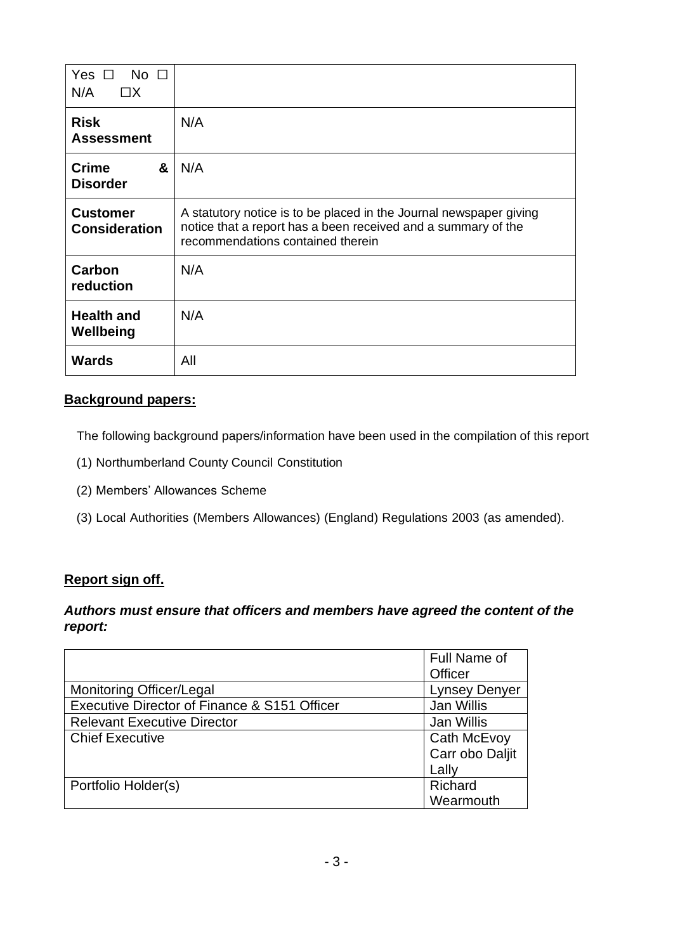| Yes $\Box$<br>$\overline{\mathsf{No}}$ $\Box$<br>N/A<br>$\Box X$ |                                                                                                                                                                          |
|------------------------------------------------------------------|--------------------------------------------------------------------------------------------------------------------------------------------------------------------------|
| <b>Risk</b><br><b>Assessment</b>                                 | N/A                                                                                                                                                                      |
| &<br><b>Crime</b><br><b>Disorder</b>                             | N/A                                                                                                                                                                      |
| <b>Customer</b><br><b>Consideration</b>                          | A statutory notice is to be placed in the Journal newspaper giving<br>notice that a report has a been received and a summary of the<br>recommendations contained therein |
| Carbon<br>reduction                                              | N/A                                                                                                                                                                      |
| <b>Health and</b><br>Wellbeing                                   | N/A                                                                                                                                                                      |
| <b>Wards</b>                                                     | All                                                                                                                                                                      |

## **Background papers:**

The following background papers/information have been used in the compilation of this report

- (1) Northumberland County Council Constitution
- (2) Members' Allowances Scheme
- (3) Local Authorities (Members Allowances) (England) Regulations 2003 (as amended).

## **Report sign off.**

#### *Authors must ensure that officers and members have agreed the content of the report:*

|                                              | Full Name of         |
|----------------------------------------------|----------------------|
|                                              | Officer              |
| <b>Monitoring Officer/Legal</b>              | <b>Lynsey Denyer</b> |
| Executive Director of Finance & S151 Officer | Jan Willis           |
| <b>Relevant Executive Director</b>           | Jan Willis           |
| <b>Chief Executive</b>                       | Cath McEvoy          |
|                                              | Carr obo Daljit      |
|                                              | Lally                |
| Portfolio Holder(s)                          | Richard              |
|                                              | Wearmouth            |